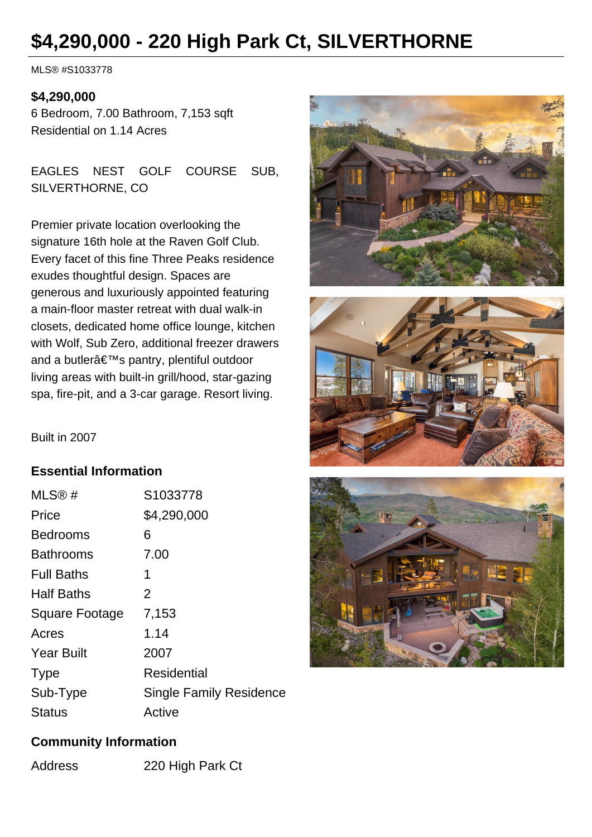# **\$4,290,000 - 220 High Park Ct, SILVERTHORNE**

MLS® #S1033778

#### **\$4,290,000**

6 Bedroom, 7.00 Bathroom, 7,153 sqft Residential on 1.14 Acres

EAGLES NEST GOLF COURSE SUB, SILVERTHORNE, CO

Premier private location overlooking the signature 16th hole at the Raven Golf Club. Every facet of this fine Three Peaks residence exudes thoughtful design. Spaces are generous and luxuriously appointed featuring a main-floor master retreat with dual walk-in closets, dedicated home office lounge, kitchen with Wolf, Sub Zero, additional freezer drawers and a butler's pantry, plentiful outdoor living areas with built-in grill/hood, star-gazing spa, fire-pit, and a 3-car garage. Resort living.





Built in 2007

#### **Essential Information**

| MLS@#                 | S1033778                       |
|-----------------------|--------------------------------|
| Price                 | \$4,290,000                    |
| <b>Bedrooms</b>       | 6                              |
| <b>Bathrooms</b>      | 7.00                           |
| <b>Full Baths</b>     | 1                              |
| <b>Half Baths</b>     | $\overline{2}$                 |
| <b>Square Footage</b> | 7,153                          |
| Acres                 | 1.14                           |
| <b>Year Built</b>     | 2007                           |
| <b>Type</b>           | <b>Residential</b>             |
| Sub-Type              | <b>Single Family Residence</b> |
| Status                | Active                         |



#### **Community Information**

Address 220 High Park Ct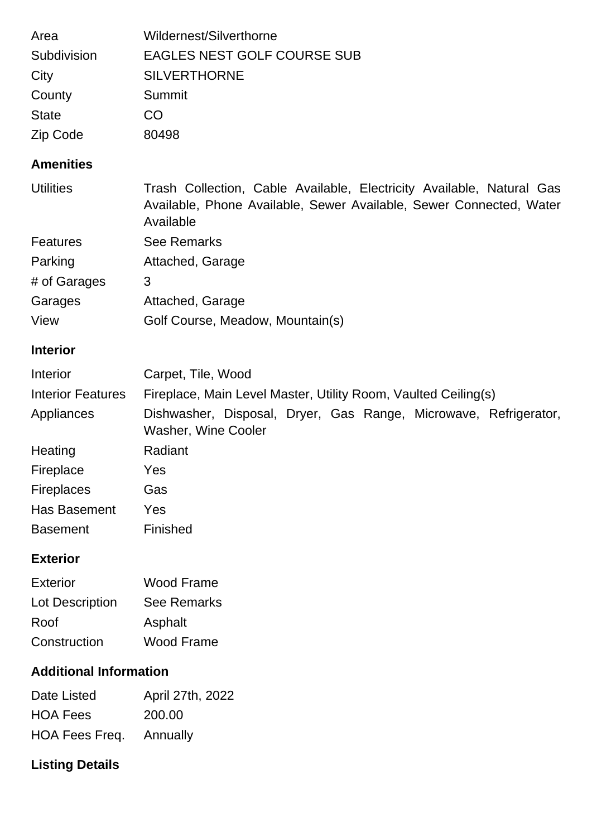| Area         | Wildernest/Silverthorne     |
|--------------|-----------------------------|
| Subdivision  | EAGLES NEST GOLF COURSE SUB |
| City         | <b>SILVERTHORNE</b>         |
| County       | Summit                      |
| <b>State</b> | CO                          |
| Zip Code     | 80498                       |

#### **Amenities**

| <b>Utilities</b> | Trash Collection, Cable Available, Electricity Available, Natural Gas<br>Available, Phone Available, Sewer Available, Sewer Connected, Water<br>Available |
|------------------|-----------------------------------------------------------------------------------------------------------------------------------------------------------|
| Features         | <b>See Remarks</b>                                                                                                                                        |
| Parking          | Attached, Garage                                                                                                                                          |
| # of Garages     | 3                                                                                                                                                         |
| Garages          | Attached, Garage                                                                                                                                          |
| View             | Golf Course, Meadow, Mountain(s)                                                                                                                          |

# **Interior**

| Interior                 | Carpet, Tile, Wood                                                                             |  |  |
|--------------------------|------------------------------------------------------------------------------------------------|--|--|
| <b>Interior Features</b> | Fireplace, Main Level Master, Utility Room, Vaulted Ceiling(s)                                 |  |  |
| Appliances               | Dishwasher, Disposal, Dryer, Gas Range, Microwave, Refrigerator,<br><b>Washer, Wine Cooler</b> |  |  |
| Heating                  | Radiant                                                                                        |  |  |
| Fireplace                | Yes                                                                                            |  |  |
| <b>Fireplaces</b>        | Gas                                                                                            |  |  |
| Has Basement             | Yes                                                                                            |  |  |
| <b>Basement</b>          | Finished                                                                                       |  |  |

### **Exterior**

| Exterior        | Wood Frame         |
|-----------------|--------------------|
| Lot Description | <b>See Remarks</b> |
| Roof            | Asphalt            |
| Construction    | Wood Frame         |

## **Additional Information**

| Date Listed                    | April 27th, 2022 |
|--------------------------------|------------------|
| <b>HOA Fees</b>                | 200.00           |
| <b>HOA Fees Freq.</b> Annually |                  |

# **Listing Details**